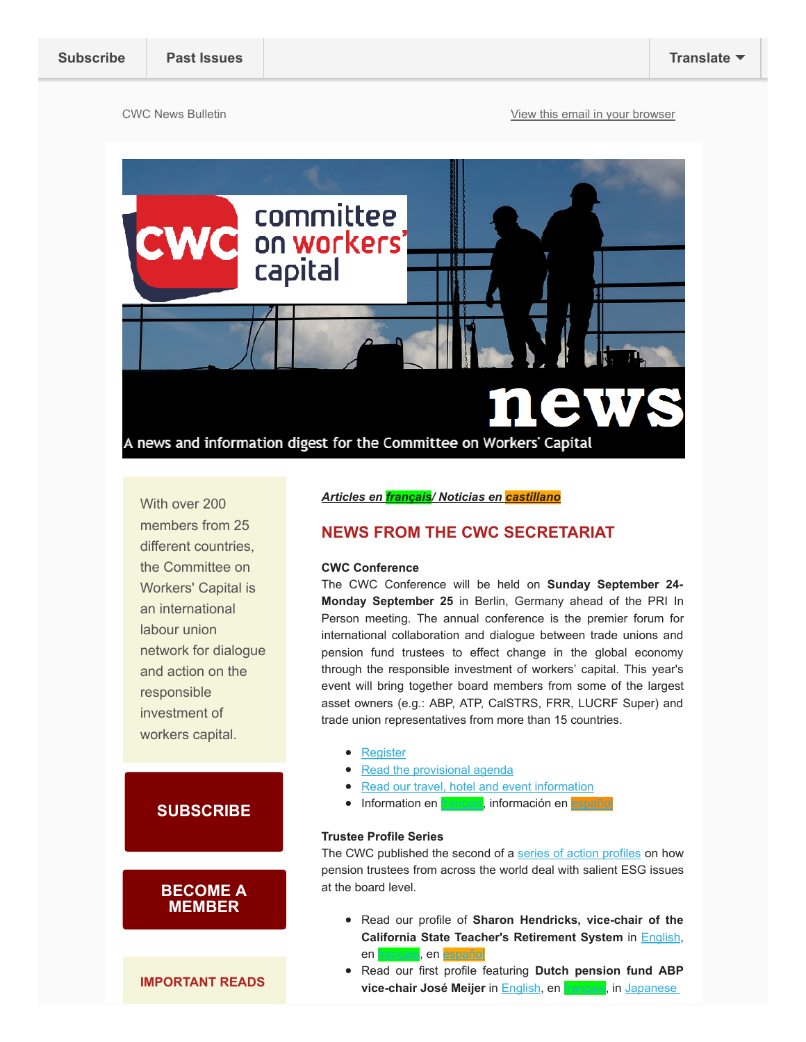CWC News Bulletin **CWC News** Bulletin **[View this email in your browser](http://mailchi.mp/workerscapital/cwc-july-news-bulletin?e=70e5704af4)** 



With over 200 members from 25 different countries, the Committee on Workers' Capital is an international labour union network for dialogue and action on the responsible investment of workers capital.

## **[SUBSCRIBE](mailto:therman@share.ca?subject=News%20Bulletin%20Subscribe)**

## [BECOME A](http://workerscapital.org/membership/) **MEMBER**

IMPORTANT READS

Articles en *français*/ Noticias en **castillano** 

## NEWS FROM THE CWC SECRETARIAT

### CWC Conference

The CWC Conference will be held on Sunday September 24- Monday September 25 in Berlin, Germany ahead of the PRI In Person meeting. The annual conference is the premier forum for international collaboration and dialogue between trade unions and pension fund trustees to effect change in the global economy through the responsible investment of workers' capital. This year's event will bring together board members from some of the largest asset owners (e.g.: ABP, ATP, CalSTRS, FRR, LUCRF Super) and trade union representatives from more than 15 countries.

- [Register](https://cwc2017.wufoo.eu/forms/cwc-workers-capital-conference-2017berlin/)
- [Read the provisional agenda](https://gallery.mailchimp.com/f3af16dbd4ad167a5671ee135/files/49ebe5b0-163d-40b9-95de-80d82f94d38e/2017_Workers_Capital_conf_17_07_11_public.pdf?utm_source=CWC+Master+List+-+DO+NOT+USE&utm_campaign=85d154e083-EMAIL_CAMPAIGN_2017_06_13&utm_medium=email&utm_term=0_e27b0bd8c7-85d154e083-437258945)
- [Read our travel, hotel and event information](https://gallery.mailchimp.com/f3af16dbd4ad167a5671ee135/files/e73e745e-6820-4efb-83c0-04c51dfe45f7/CWC_Travel_Event_Information_Berlin_17_7_11_FINAL.01.pdf?utm_source=CWC+Master+List+-+DO+NOT+USE&utm_campaign=85d154e083-EMAIL_CAMPAIGN_2017_06_13&utm_medium=email&utm_term=0_e27b0bd8c7-85d154e083-437259493)
- **·** Information en [français,](http://workerscapital.us1.list-manage2.com/track/click?u=f3af16dbd4ad167a5671ee135&id=5d94d9fdac&e=70e5704af4) información en esp

### Trustee Profile Series

The CWC published the second of a [series of action profiles](http://workerscapital.org/priorities/trustee-education/trustee-profiles?utm_source=CWC+Master+List+-+DO+NOT+USE&utm_campaign=f8fe59550e-EMAIL_CAMPAIGN_2017_01_18&utm_medium=email&utm_term=0_e27b0bd8c7-f8fe59550e-) on how pension trustees from across the world deal with salient ESG issues at the board level.

- Read our profile of Sharon Hendricks, vice-chair of the California State Teacher's Retirement System in [English,](https://gallery.mailchimp.com/f3af16dbd4ad167a5671ee135/files/9f0ee23e-c25b-4d77-bed5-87ade4db6ff3/CWC_trustee_shendricks_FINAL.pdf) en [français](https://gallery.mailchimp.com/f3af16dbd4ad167a5671ee135/files/f5f5240d-6a8a-488d-9bdf-1cfe944d8b23/CWC_trustee_shendricks_FR.pdf), en [español](https://gallery.mailchimp.com/f3af16dbd4ad167a5671ee135/files/90555ee2-5a3a-4e80-a5a5-15985184797e/CWC_trustee_shendricks_ES.pdf)
- Read our first profile featuring Dutch pension fund ABP vice-chair José Meijer in **English**, en **français**, in Japanese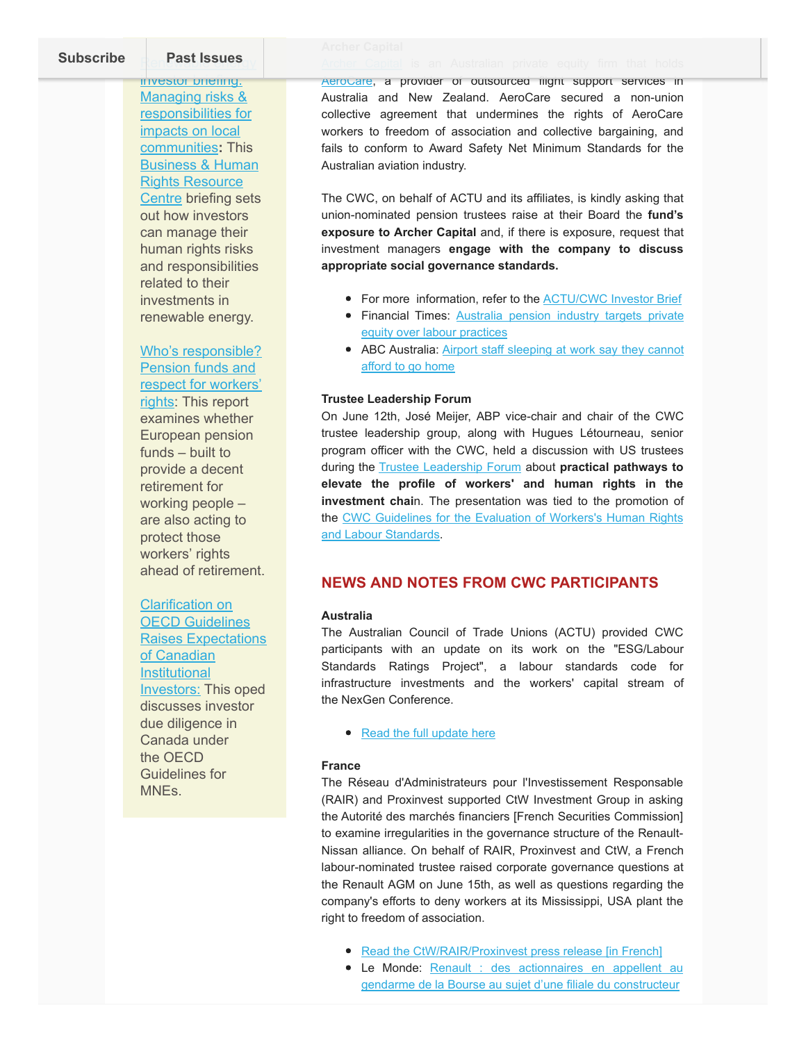[Subscribe](http://eepurl.com/c9-Ziz) **Past Issues** 

investor briefing: Managing risks & responsibilities for impacts on local communities: This Business & Human Rights Resource [Centre briefing sets](http://the%20briefing%20sets%20out%20how%20investors%20can%20manage%20their%20human%20rights%20risks%20and%20responsibilities%20related%20to%20their%20investments%20in%20renewable%20energy./) out how investors can manage their human rights risks and responsibilities related to their investments in renewable energy.

Who's responsible? Pension funds and [respect for workers'](http://www.itfglobal.org/en/resources/reports-publications/pension-funds-and-respect-for-workers-rights/) rights: This report examines whether European pension funds – built to provide a decent retirement for working people – are also acting to protect those workers' rights ahead of retirement.

# Clarification on

OECD Guidelines [Raises Expectations](https://bpmmagazine.com/article/clarification-on-oecd-guidelines-raises-expectations-of-canadian-institutional-investors/?platform=hootsuite) of Canadian **Institutional** Investors: This oped discusses investor due diligence in Canada under the OECD Guidelines for MNEs.

[AeroCare,](http://workerscapital.us1.list-manage.com/track/click?u=f3af16dbd4ad167a5671ee135&id=b9d038644e&e=ee94b2a1cc) a provider of outsourced flight support services in Australia and New Zealand. AeroCare secured a non-union collective agreement that undermines the rights of AeroCare workers to freedom of association and collective bargaining, and fails to conform to Award Safety Net Minimum Standards for the Australian aviation industry.

The CWC, on behalf of ACTU and its affiliates, is kindly asking that union-nominated pension trustees raise at their Board the fund's exposure to Archer Capital and, if there is exposure, request that investment managers engage with the company to discuss appropriate social governance standards.

- For more information, refer to the [ACTU/CWC Investor Brief](http://workerscapital.us1.list-manage.com/track/click?u=f3af16dbd4ad167a5671ee135&id=e04664c6b3&e=ee94b2a1cc)
- [Financial Times: Australia pension industry targets private](http://workerscapital.us1.list-manage.com/track/click?u=f3af16dbd4ad167a5671ee135&id=6b7c14b98a&e=ee94b2a1cc) equity over labour practices
- [ABC Australia: Airport staff sleeping at work say they cannot](http://workerscapital.us1.list-manage1.com/track/click?u=f3af16dbd4ad167a5671ee135&id=f90f794935&e=ee94b2a1cc) afford to go home

#### Trustee Leadership Forum

On June 12th, José Meijer, ABP vice-chair and chair of the CWC trustee leadership group, along with Hugues Létourneau, senior program officer with the CWC, held a discussion with US trustees during the **[Trustee Leadership Forum](https://iri.hks.harvard.edu/trustee-leadership-forum)** about practical pathways to elevate the profile of workers' and human rights in the investment chain. The presentation was tied to the promotion of [the CWC Guidelines for the Evaluation of Workers's Human Rights](http://workerscapital.org/taskforce-on-sustainability-ratings) and Labour Standards.

## NEWS AND NOTES FROM CWC PARTICIPANTS

### Australia

The Australian Council of Trade Unions (ACTU) provided CWC participants with an update on its work on the "ESG/Labour Standards Ratings Project", a labour standards code for infrastructure investments and the workers' capital stream of the NexGen Conference.

• [Read the full update here](https://gallery.mailchimp.com/f3af16dbd4ad167a5671ee135/files/7a062bbe-8de7-43cc-b386-cd53c61e58c2/2017_July_Australian_input_to_CWC_newsletter.pdf)

### France

The Réseau d'Administrateurs pour l'Investissement Responsable (RAIR) and Proxinvest supported CtW Investment Group in asking the Autorité des marchés financiers [French Securities Commission] to examine irregularities in the governance structure of the Renault-Nissan alliance. On behalf of RAIR, Proxinvest and CtW, a French labour-nominated trustee raised corporate governance questions at the Renault AGM on June 15th, as well as questions regarding the company's efforts to deny workers at its Mississippi, USA plant the right to freedom of association.

- [Read the CtW/RAIR/Proxinvest press release \[in French\]](https://gallery.mailchimp.com/f3af16dbd4ad167a5671ee135/files/9460cf2a-d3f1-481a-ab79-2298b7f4ab7a/Communique_de_presse_PROXINVEST_CtW_RAIR_Renault.pdf)
- [Le Monde: Renault : des actionnaires en appellent au](http://www.lemonde.fr/economie/article/2017/06/01/renault-des-actionnaires-en-appellent-au-gendarme-de-la-bourse-au-sujet-d-une-filiale-du-constructeur_5137296_3234.html#yh1bCX4Gw0hcMcLa.99) gendarme de la Bourse au sujet d'une filiale du constructeur